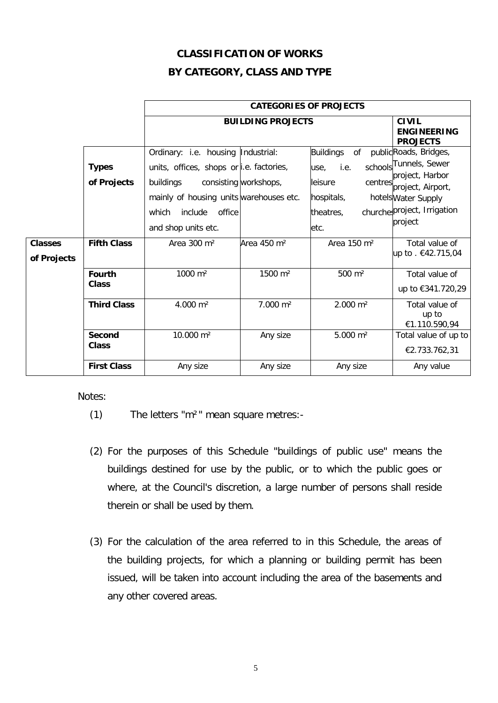## **CLASSIFICATION OF WORKS BY CATEGORY, CLASS AND TYPE**

|                               |                               | <b>CATEGORIES OF PROJECTS</b>                                                                                                                                                               |                         |                                                                                                  |                                                                                                                                                          |
|-------------------------------|-------------------------------|---------------------------------------------------------------------------------------------------------------------------------------------------------------------------------------------|-------------------------|--------------------------------------------------------------------------------------------------|----------------------------------------------------------------------------------------------------------------------------------------------------------|
|                               |                               | <b>BUILDING PROJECTS</b>                                                                                                                                                                    |                         |                                                                                                  | <b>CIVIL</b><br><b>ENGINEERING</b><br><b>PROJECTS</b>                                                                                                    |
|                               | <b>Types</b><br>of Projects   | Ordinary: i.e. housing Industrial:<br>units, offices, shops or i.e. factories,<br>buildings<br>mainly of housing units warehouses etc.<br>which<br>include<br>office<br>and shop units etc. | consisting workshops,   | <b>Buildings</b><br>of<br>i.e.<br>use,<br>centres!<br>leisure<br>hospitals,<br>theatres,<br>etc. | publicRoads, Bridges,<br>schools Tunnels, Sewer<br>project, Harbor<br>project, Airport,<br>hotels Water Supply<br>churchesproject, Irrigation<br>project |
| <b>Classes</b><br>of Projects | <b>Fifth Class</b>            | Area 300 m <sup>2</sup>                                                                                                                                                                     | Area 450 m <sup>2</sup> | Area 150 m <sup>2</sup>                                                                          | Total value of<br>up to . €42.715,04                                                                                                                     |
|                               | <b>Fourth</b><br><b>Class</b> | 1000 m <sup>2</sup>                                                                                                                                                                         | 1500 m <sup>2</sup>     | 500 m <sup>2</sup>                                                                               | Total value of<br>up to €341.720,29                                                                                                                      |
|                               | <b>Third Class</b>            | 4.000 m <sup>2</sup>                                                                                                                                                                        | 7.000 m <sup>2</sup>    | 2.000 m <sup>2</sup>                                                                             | Total value of<br>up to<br>€1.110.590,94                                                                                                                 |
|                               | Second<br>Class               | 10.000 m <sup>2</sup>                                                                                                                                                                       | Any size                | $5.000 \; \text{m}^2$                                                                            | Total value of up to<br>€2.733.762,31                                                                                                                    |
|                               | <b>First Class</b>            | Any size                                                                                                                                                                                    | Any size                | Any size                                                                                         | Any value                                                                                                                                                |

Notes:

- (1) The letters "m²" mean square metres:-
- (2) For the purposes of this Schedule "buildings of public use" means the buildings destined for use by the public, or to which the public goes or where, at the Council's discretion, a large number of persons shall reside therein or shall be used by them.
- (3) For the calculation of the area referred to in this Schedule, the areas of the building projects, for which a planning or building permit has been issued, will be taken into account including the area of the basements and any other covered areas.